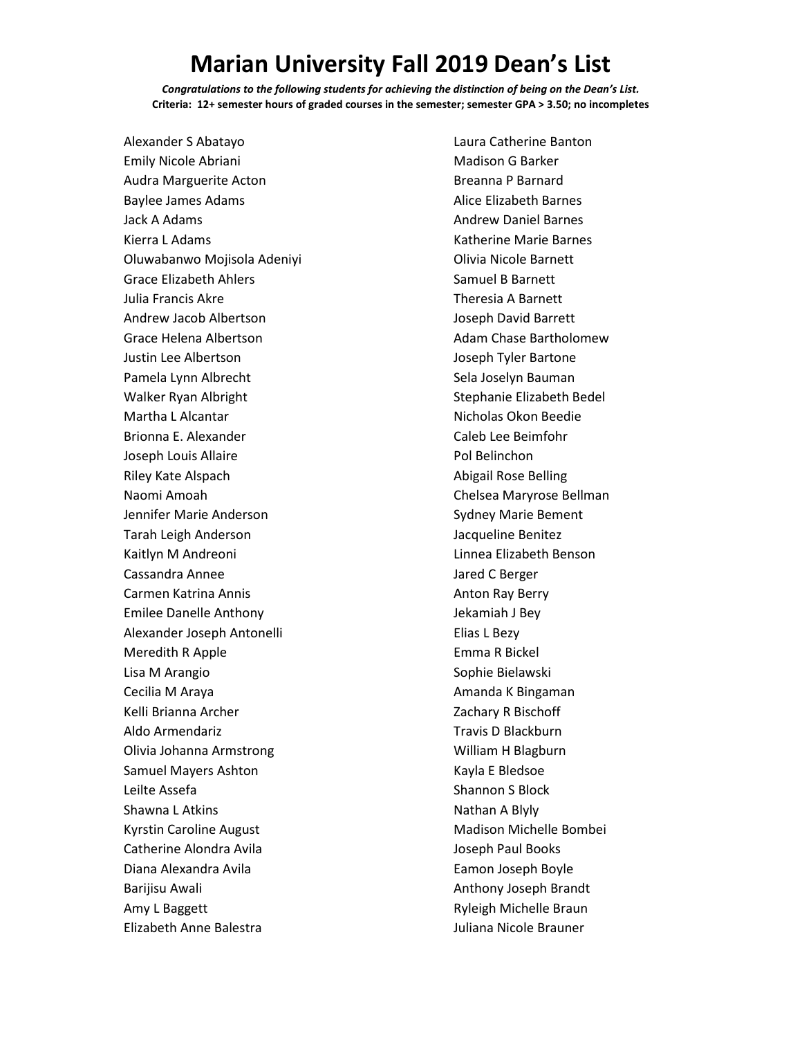## **Marian University Fall 2019 Dean's List**

*Congratulations to the following students for achieving the distinction of being on the Dean's List.* **Criteria: 12+ semester hours of graded courses in the semester; semester GPA > 3.50; no incompletes**

Alexander S Abatayo Emily Nicole Abriani Audra Marguerite Acton Baylee James Adams Jack A Adams Kierra L Adams Oluwabanwo Mojisola Adeniyi Grace Elizabeth Ahlers Julia Francis Akre Andrew Jacob Albertson Grace Helena Albertson Justin Lee Albertson Pamela Lynn Albrecht Walker Ryan Albright Martha L Alcantar Brionna E. Alexander Joseph Louis Allaire Riley Kate Alspach Naomi Amoah Jennifer Marie Anderson Tarah Leigh Anderson Kaitlyn M Andreoni Cassandra Annee Carmen Katrina Annis Emilee Danelle Anthony Alexander Joseph Antonelli Meredith R Apple Lisa M Arangio Cecilia M Araya Kelli Brianna Archer Aldo Armendariz Olivia Johanna Armstrong Samuel Mayers Ashton Leilte Assefa Shawna L Atkins Kyrstin Caroline August Catherine Alondra Avila Diana Alexandra Avila Barijisu Awali Amy L Baggett Elizabeth Anne Balestra

Laura Catherine Banton Madison G Barker Breanna P Barnard Alice Elizabeth Barnes Andrew Daniel Barnes Katherine Marie Barnes Olivia Nicole Barnett Samuel B Barnett Theresia A Barnett Joseph David Barrett Adam Chase Bartholomew Joseph Tyler Bartone Sela Joselyn Bauman Stephanie Elizabeth Bedel Nicholas Okon Beedie Caleb Lee Beimfohr Pol Belinchon Abigail Rose Belling Chelsea Maryrose Bellman Sydney Marie Bement Jacqueline Benitez Linnea Elizabeth Benson Jared C Berger Anton Ray Berry Jekamiah J Bey Elias L Bezy Emma R Bickel Sophie Bielawski Amanda K Bingaman Zachary R Bischoff Travis D Blackburn William H Blagburn Kayla E Bledsoe Shannon S Block Nathan A Blyly Madison Michelle Bombei Joseph Paul Books Eamon Joseph Boyle Anthony Joseph Brandt Ryleigh Michelle Braun Juliana Nicole Brauner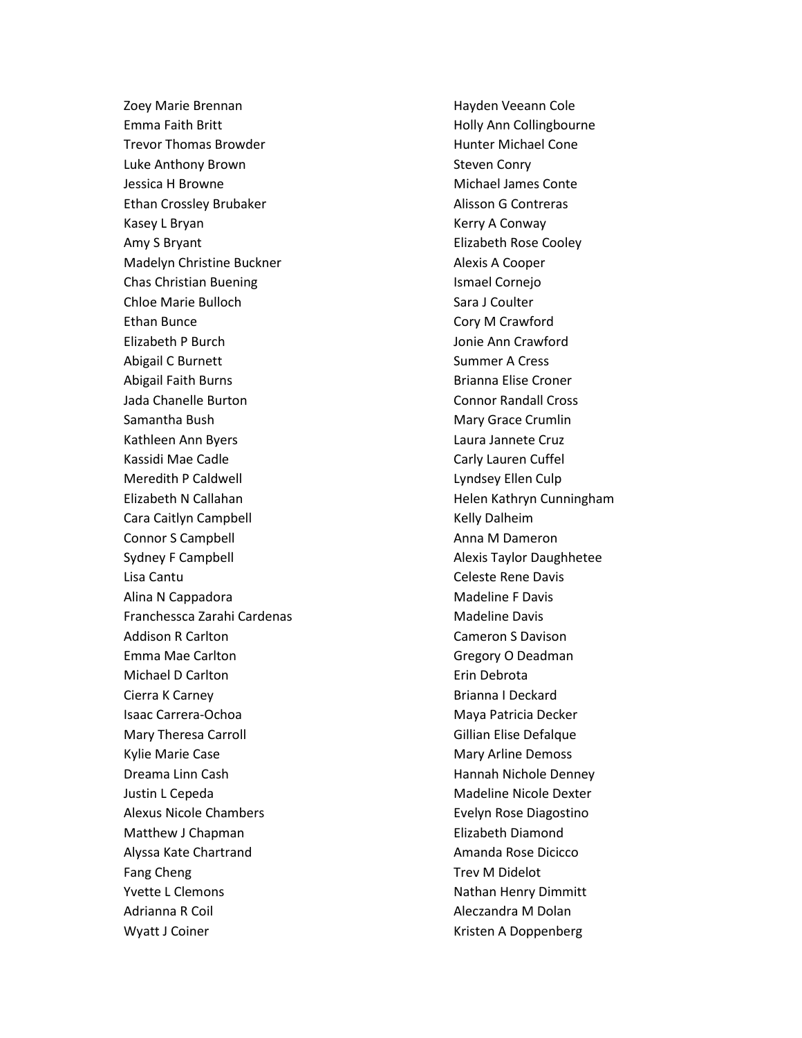Zoey Marie Brennan Emma Faith Britt Trevor Thomas Browder Luke Anthony Brown Jessica H Browne Ethan Crossley Brubaker Kasey L Bryan Amy S Bryant Madelyn Christine Buckner Chas Christian Buening Chloe Marie Bulloch Ethan Bunce Elizabeth P Burch Abigail C Burnett Abigail Faith Burns Jada Chanelle Burton Samantha Bush Kathleen Ann Byers Kassidi Mae Cadle Meredith P Caldwell Elizabeth N Callahan Cara Caitlyn Campbell Connor S Campbell Sydney F Campbell Lisa Cantu Alina N Cappadora Franchessca Zarahi Cardenas Addison R Carlton Emma Mae Carlton Michael D Carlton Cierra K Carney Isaac Carrera-Ochoa Mary Theresa Carroll Kylie Marie Case Dreama Linn Cash Justin L Cepeda Alexus Nicole Chambers Matthew J Chapman Alyssa Kate Chartrand Fang Cheng Yvette L Clemons Adrianna R Coil Wyatt J Coiner

Hayden Veeann Cole Holly Ann Collingbourne Hunter Michael Cone Steven Conry Michael James Conte Alisson G Contreras Kerry A Conway Elizabeth Rose Cooley Alexis A Cooper Ismael Cornejo Sara J Coulter Cory M Crawford Jonie Ann Crawford Summer A Cress Brianna Elise Croner Connor Randall Cross Mary Grace Crumlin Laura Jannete Cruz Carly Lauren Cuffel Lyndsey Ellen Culp Helen Kathryn Cunningham Kelly Dalheim Anna M Dameron Alexis Taylor Daughhetee Celeste Rene Davis Madeline F Davis Madeline Davis Cameron S Davison Gregory O Deadman Erin Debrota Brianna I Deckard Maya Patricia Decker Gillian Elise Defalque Mary Arline Demoss Hannah Nichole Denney Madeline Nicole Dexter Evelyn Rose Diagostino Elizabeth Diamond Amanda Rose Dicicco Trev M Didelot Nathan Henry Dimmitt Aleczandra M Dolan Kristen A Doppenberg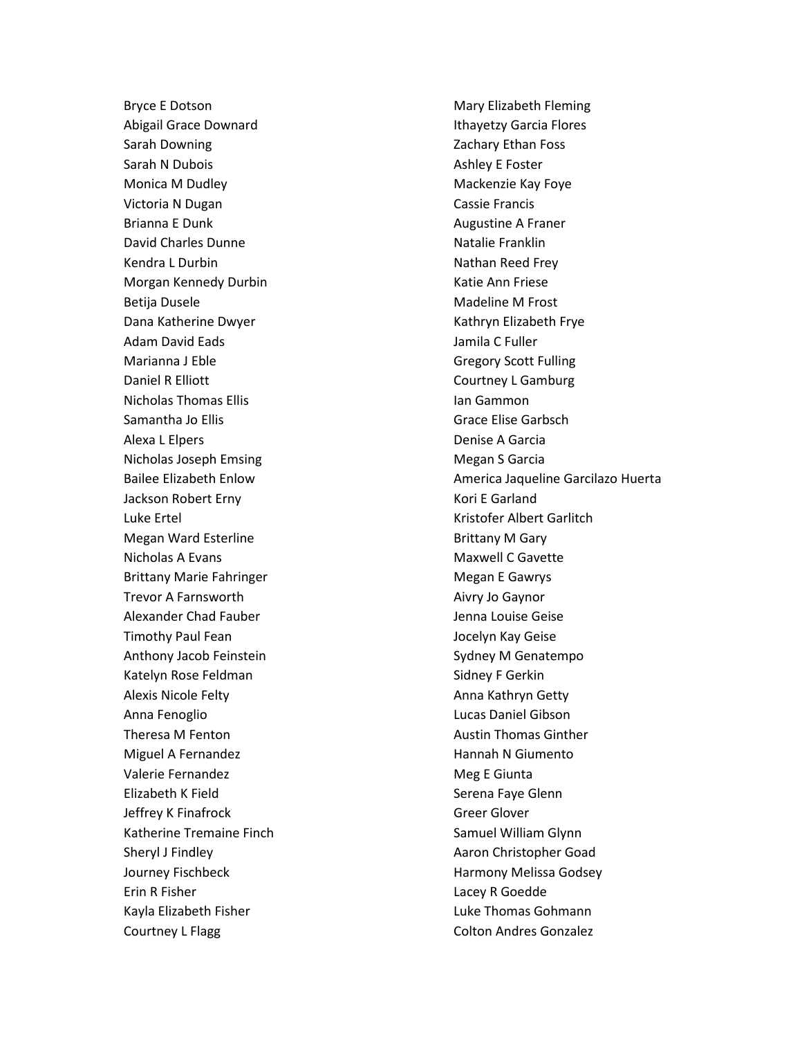Bryce E Dotson Abigail Grace Downard Sarah Downing Sarah N Dubois Monica M Dudley Victoria N Dugan Brianna E Dunk David Charles Dunne Kendra L Durbin Morgan Kennedy Durbin Betija Dusele Dana Katherine Dwyer Adam David Eads Marianna J Eble Daniel R Elliott Nicholas Thomas Ellis Samantha Jo Ellis Alexa L Elpers Nicholas Joseph Emsing Bailee Elizabeth Enlow Jackson Robert Erny Luke Ertel Megan Ward Esterline Nicholas A Evans Brittany Marie Fahringer Trevor A Farnsworth Alexander Chad Fauber Timothy Paul Fean Anthony Jacob Feinstein Katelyn Rose Feldman Alexis Nicole Felty Anna Fenoglio Theresa M Fenton Miguel A Fernandez Valerie Fernandez Elizabeth K Field Jeffrey K Finafrock Katherine Tremaine Finch Sheryl J Findley Journey Fischbeck Erin R Fisher Kayla Elizabeth Fisher Courtney L Flagg

Mary Elizabeth Fleming Ithayetzy Garcia Flores Zachary Ethan Foss Ashley E Foster Mackenzie Kay Foye Cassie Francis Augustine A Franer Natalie Franklin Nathan Reed Frey Katie Ann Friese Madeline M Frost Kathryn Elizabeth Frye Jamila C Fuller Gregory Scott Fulling Courtney L Gamburg Ian Gammon Grace Elise Garbsch Denise A Garcia Megan S Garcia America Jaqueline Garcilazo Huerta Kori E Garland Kristofer Albert Garlitch Brittany M Gary Maxwell C Gavette Megan E Gawrys Aivry Jo Gaynor Jenna Louise Geise Jocelyn Kay Geise Sydney M Genatempo Sidney F Gerkin Anna Kathryn Getty Lucas Daniel Gibson Austin Thomas Ginther Hannah N Giumento Meg E Giunta Serena Faye Glenn Greer Glover Samuel William Glynn Aaron Christopher Goad Harmony Melissa Godsey Lacey R Goedde Luke Thomas Gohmann Colton Andres Gonzalez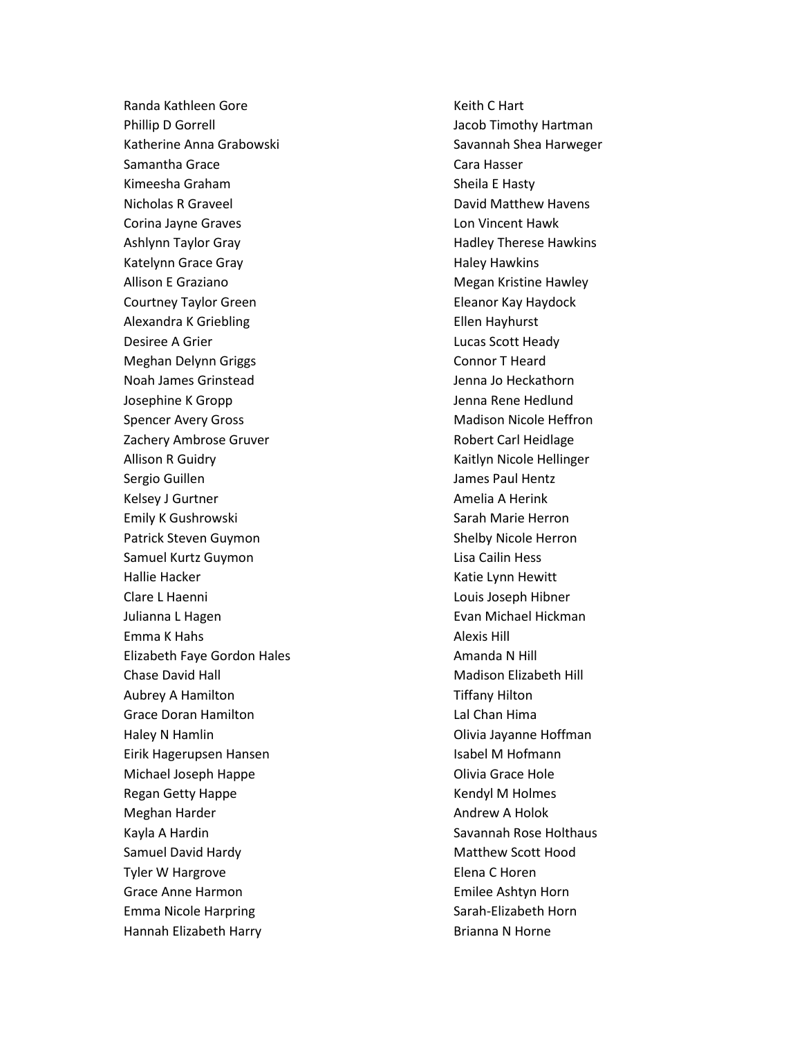Randa Kathleen Gore Phillip D Gorrell Katherine Anna Grabowski Samantha Grace Kimeesha Graham Nicholas R Graveel Corina Jayne Graves Ashlynn Taylor Gray Katelynn Grace Gray Allison E Graziano Courtney Taylor Green Alexandra K Griebling Desiree A Grier Meghan Delynn Griggs Noah James Grinstead Josephine K Gropp Spencer Avery Gross Zachery Ambrose Gruver Allison R Guidry Sergio Guillen Kelsey J Gurtner Emily K Gushrowski Patrick Steven Guymon Samuel Kurtz Guymon Hallie Hacker Clare L Haenni Julianna L Hagen Emma K Hahs Elizabeth Faye Gordon Hales Chase David Hall Aubrey A Hamilton Grace Doran Hamilton Haley N Hamlin Eirik Hagerupsen Hansen Michael Joseph Happe Regan Getty Happe Meghan Harder Kayla A Hardin Samuel David Hardy Tyler W Hargrove Grace Anne Harmon Emma Nicole Harpring Hannah Elizabeth Harry

Keith C Hart Jacob Timothy Hartman Savannah Shea Harweger Cara Hasser Sheila E Hasty David Matthew Havens Lon Vincent Hawk Hadley Therese Hawkins Haley Hawkins Megan Kristine Hawley Eleanor Kay Haydock Ellen Hayhurst Lucas Scott Heady Connor T Heard Jenna Jo Heckathorn Jenna Rene Hedlund Madison Nicole Heffron Robert Carl Heidlage Kaitlyn Nicole Hellinger James Paul Hentz Amelia A Herink Sarah Marie Herron Shelby Nicole Herron Lisa Cailin Hess Katie Lynn Hewitt Louis Joseph Hibner Evan Michael Hickman Alexis Hill Amanda N Hill Madison Elizabeth Hill Tiffany Hilton Lal Chan Hima Olivia Jayanne Hoffman Isabel M Hofmann Olivia Grace Hole Kendyl M Holmes Andrew A Holok Savannah Rose Holthaus Matthew Scott Hood Elena C Horen Emilee Ashtyn Horn Sarah-Elizabeth Horn Brianna N Horne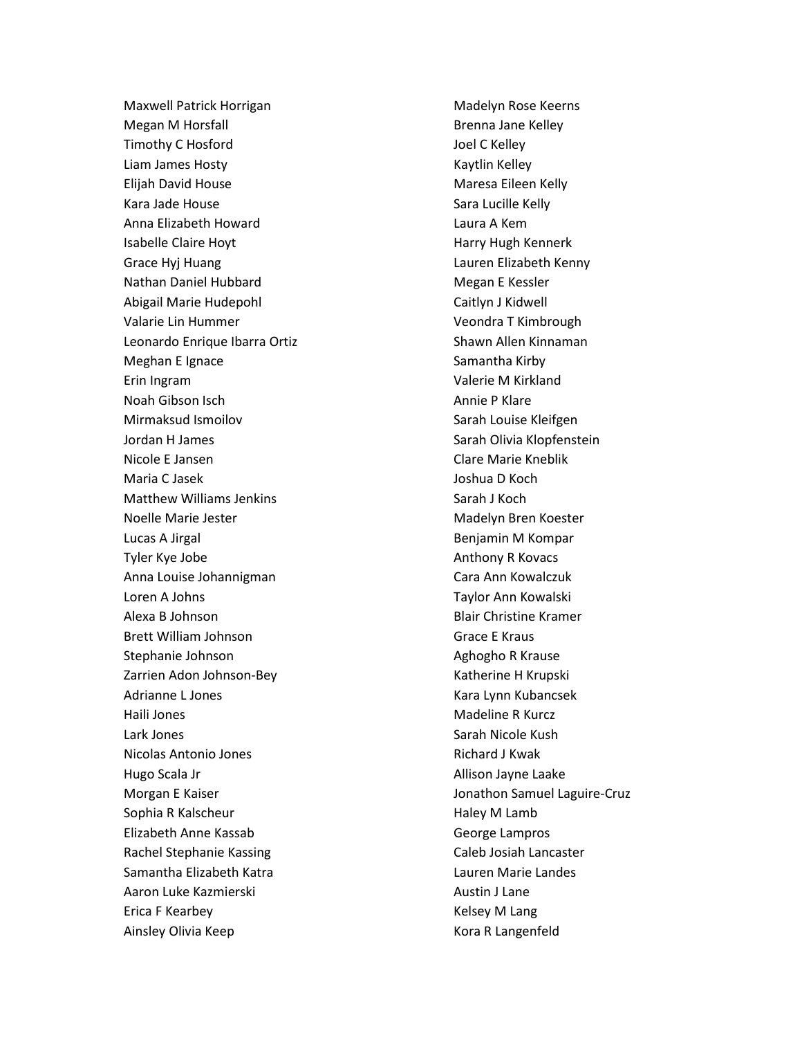Maxwell Patrick Horrigan Megan M Horsfall Timothy C Hosford Liam James Hosty Elijah David House Kara Jade House Anna Elizabeth Howard Isabelle Claire Hoyt Grace Hyj Huang Nathan Daniel Hubbard Abigail Marie Hudepohl Valarie Lin Hummer Leonardo Enrique Ibarra Ortiz Meghan E Ignace Erin Ingram Noah Gibson Isch Mirmaksud Ismoilov Jordan H James Nicole E Jansen Maria C Jasek Matthew Williams Jenkins Noelle Marie Jester Lucas A Jirgal Tyler Kye Jobe Anna Louise Johannigman Loren A Johns Alexa B Johnson Brett William Johnson Stephanie Johnson Zarrien Adon Johnson-Bey Adrianne L Jones Haili Jones Lark Jones Nicolas Antonio Jones Hugo Scala Jr Morgan E Kaiser Sophia R Kalscheur Elizabeth Anne Kassab Rachel Stephanie Kassing Samantha Elizabeth Katra Aaron Luke Kazmierski Erica F Kearbey Ainsley Olivia Keep

Madelyn Rose Keerns Brenna Jane Kelley Joel C Kelley Kaytlin Kelley Maresa Eileen Kelly Sara Lucille Kelly Laura A Kem Harry Hugh Kennerk Lauren Elizabeth Kenny Megan E Kessler Caitlyn J Kidwell Veondra T Kimbrough Shawn Allen Kinnaman Samantha Kirby Valerie M Kirkland Annie P Klare Sarah Louise Kleifgen Sarah Olivia Klopfenstein Clare Marie Kneblik Joshua D Koch Sarah J Koch Madelyn Bren Koester Benjamin M Kompar Anthony R Kovacs Cara Ann Kowalczuk Taylor Ann Kowalski Blair Christine Kramer Grace E Kraus Aghogho R Krause Katherine H Krupski Kara Lynn Kubancsek Madeline R Kurcz Sarah Nicole Kush Richard J Kwak Allison Jayne Laake Jonathon Samuel Laguire-Cruz Haley M Lamb George Lampros Caleb Josiah Lancaster Lauren Marie Landes Austin J Lane Kelsey M Lang Kora R Langenfeld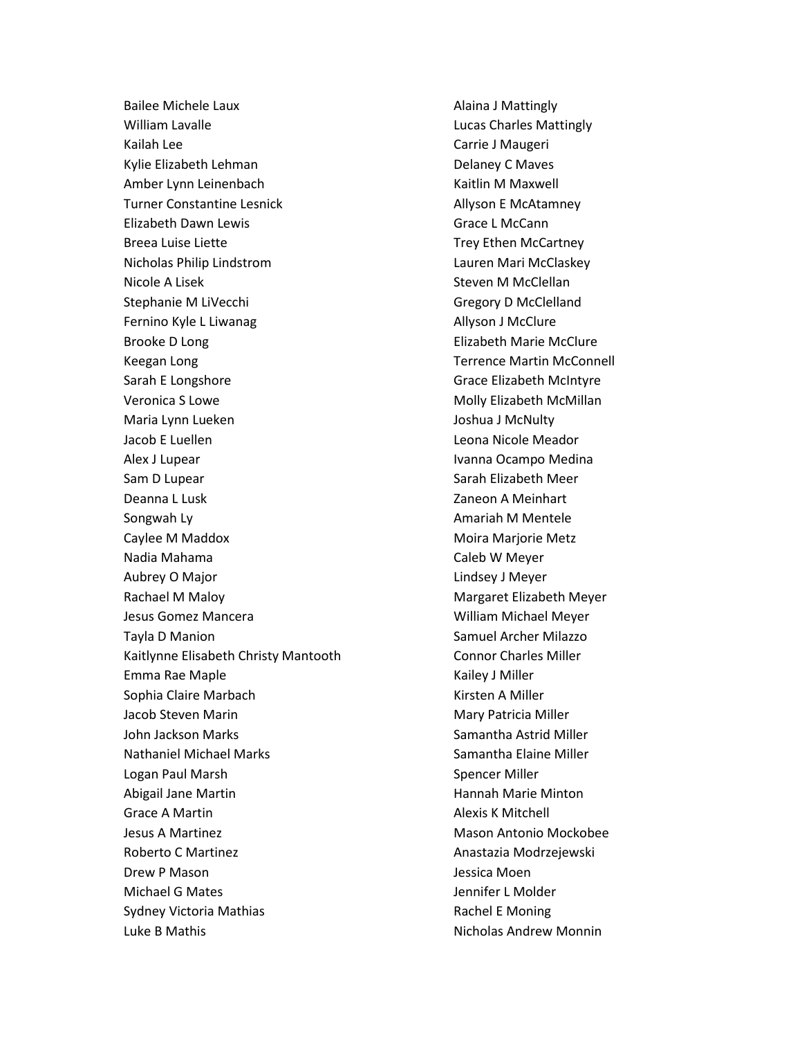Bailee Michele Laux William Lavalle Kailah Lee Kylie Elizabeth Lehman Amber Lynn Leinenbach Turner Constantine Lesnick Elizabeth Dawn Lewis Breea Luise Liette Nicholas Philip Lindstrom Nicole A Lisek Stephanie M LiVecchi Fernino Kyle L Liwanag Brooke D Long Keegan Long Sarah E Longshore Veronica S Lowe Maria Lynn Lueken Jacob E Luellen Alex J Lupear Sam D Lupear Deanna L Lusk Songwah Ly Caylee M Maddox Nadia Mahama Aubrey O Major Rachael M Maloy Jesus Gomez Mancera Tayla D Manion Kaitlynne Elisabeth Christy Mantooth Emma Rae Maple Sophia Claire Marbach Jacob Steven Marin John Jackson Marks Nathaniel Michael Marks Logan Paul Marsh Abigail Jane Martin Grace A Martin Jesus A Martinez Roberto C Martinez Drew P Mason Michael G Mates Sydney Victoria Mathias Luke B Mathis

Alaina J Mattingly Lucas Charles Mattingly Carrie J Maugeri Delaney C Maves Kaitlin M Maxwell Allyson E McAtamney Grace L McCann Trey Ethen McCartney Lauren Mari McClaskey Steven M McClellan Gregory D McClelland Allyson J McClure Elizabeth Marie McClure Terrence Martin McConnell Grace Elizabeth McIntyre Molly Elizabeth McMillan Joshua J McNulty Leona Nicole Meador Ivanna Ocampo Medina Sarah Elizabeth Meer Zaneon A Meinhart Amariah M Mentele Moira Marjorie Metz Caleb W Meyer Lindsey J Meyer Margaret Elizabeth Meyer William Michael Meyer Samuel Archer Milazzo Connor Charles Miller Kailey J Miller Kirsten A Miller Mary Patricia Miller Samantha Astrid Miller Samantha Elaine Miller Spencer Miller Hannah Marie Minton Alexis K Mitchell Mason Antonio Mockobee Anastazia Modrzejewski Jessica Moen Jennifer L Molder Rachel E Moning Nicholas Andrew Monnin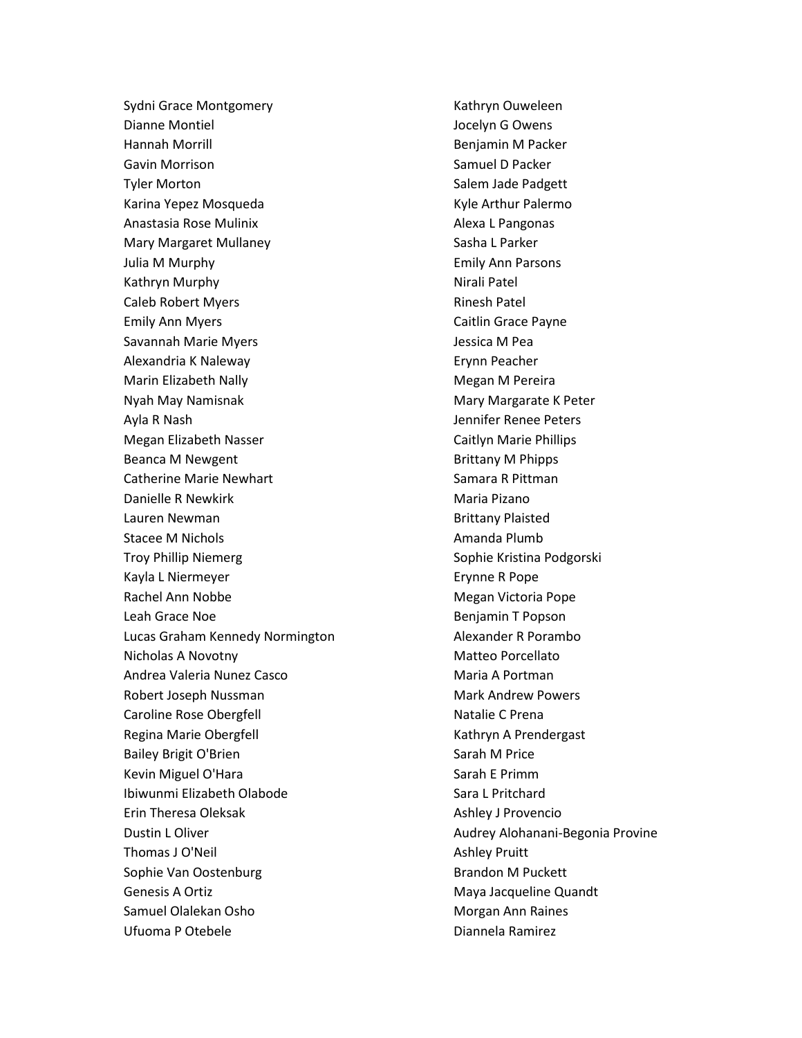Sydni Grace Montgomery Dianne Montiel Hannah Morrill Gavin Morrison Tyler Morton Karina Yepez Mosqueda Anastasia Rose Mulinix Mary Margaret Mullaney Julia M Murphy Kathryn Murphy Caleb Robert Myers Emily Ann Myers Savannah Marie Myers Alexandria K Naleway Marin Elizabeth Nally Nyah May Namisnak Ayla R Nash Megan Elizabeth Nasser Beanca M Newgent Catherine Marie Newhart Danielle R Newkirk Lauren Newman Stacee M Nichols Troy Phillip Niemerg Kayla L Niermeyer Rachel Ann Nobbe Leah Grace Noe Lucas Graham Kennedy Normington Nicholas A Novotny Andrea Valeria Nunez Casco Robert Joseph Nussman Caroline Rose Obergfell Regina Marie Obergfell Bailey Brigit O'Brien Kevin Miguel O'Hara Ibiwunmi Elizabeth Olabode Erin Theresa Oleksak Dustin L Oliver Thomas J O'Neil Sophie Van Oostenburg Genesis A Ortiz Samuel Olalekan Osho Ufuoma P Otebele

Kathryn Ouweleen Jocelyn G Owens Benjamin M Packer Samuel D Packer Salem Jade Padgett Kyle Arthur Palermo Alexa L Pangonas Sasha L Parker Emily Ann Parsons Nirali Patel Rinesh Patel Caitlin Grace Payne Jessica M Pea Erynn Peacher Megan M Pereira Mary Margarate K Peter Jennifer Renee Peters Caitlyn Marie Phillips Brittany M Phipps Samara R Pittman Maria Pizano Brittany Plaisted Amanda Plumb Sophie Kristina Podgorski Erynne R Pope Megan Victoria Pope Benjamin T Popson Alexander R Porambo Matteo Porcellato Maria A Portman Mark Andrew Powers Natalie C Prena Kathryn A Prendergast Sarah M Price Sarah E Primm Sara L Pritchard Ashley J Provencio Audrey Alohanani-Begonia Provine Ashley Pruitt Brandon M Puckett Maya Jacqueline Quandt Morgan Ann Raines Diannela Ramirez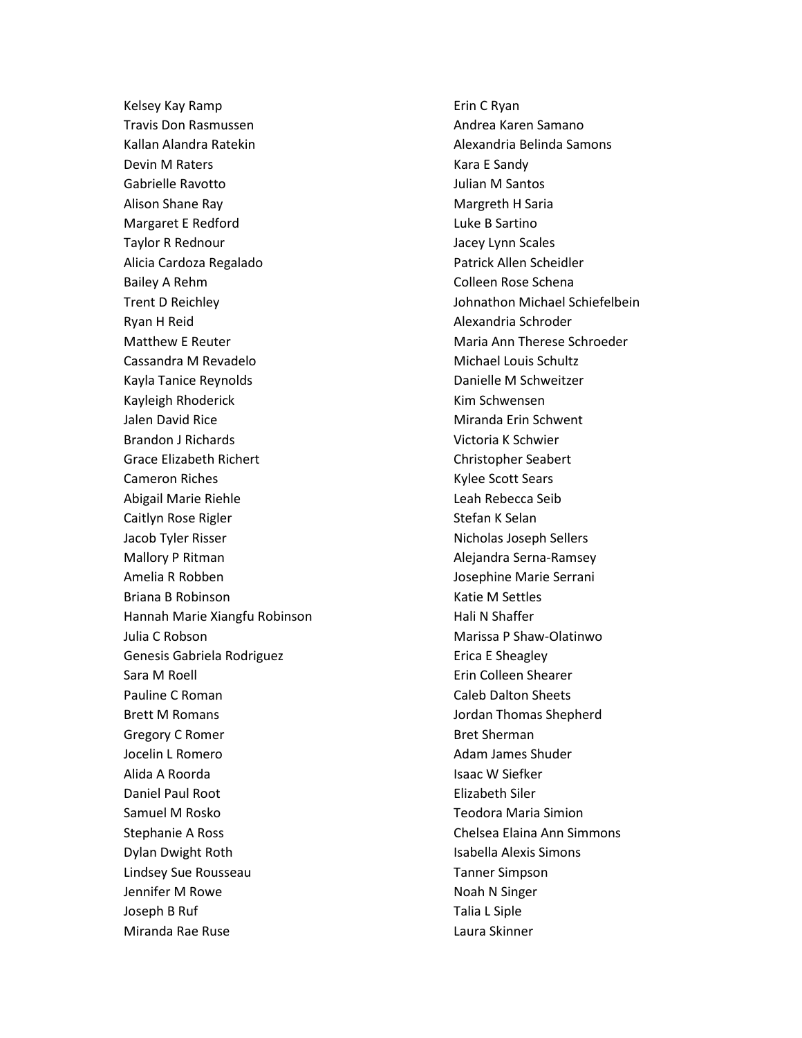Kelsey Kay Ramp Travis Don Rasmussen Kallan Alandra Ratekin Devin M Raters Gabrielle Ravotto Alison Shane Ray Margaret E Redford Taylor R Rednour Alicia Cardoza Regalado Bailey A Rehm Trent D Reichley Ryan H Reid Matthew E Reuter Cassandra M Revadelo Kayla Tanice Reynolds Kayleigh Rhoderick Jalen David Rice Brandon J Richards Grace Elizabeth Richert Cameron Riches Abigail Marie Riehle Caitlyn Rose Rigler Jacob Tyler Risser Mallory P Ritman Amelia R Robben Briana B Robinson Hannah Marie Xiangfu Robinson Julia C Robson Genesis Gabriela Rodriguez Sara M Roell Pauline C Roman Brett M Romans Gregory C Romer Jocelin L Romero Alida A Roorda Daniel Paul Root Samuel M Rosko Stephanie A Ross Dylan Dwight Roth Lindsey Sue Rousseau Jennifer M Rowe Joseph B Ruf Miranda Rae Ruse

Erin C Ryan Andrea Karen Samano Alexandria Belinda Samons Kara E Sandy Julian M Santos Margreth H Saria Luke B Sartino Jacey Lynn Scales Patrick Allen Scheidler Colleen Rose Schena Johnathon Michael Schiefelbein Alexandria Schroder Maria Ann Therese Schroeder Michael Louis Schultz Danielle M Schweitzer Kim Schwensen Miranda Erin Schwent Victoria K Schwier Christopher Seabert Kylee Scott Sears Leah Rebecca Seib Stefan K Selan Nicholas Joseph Sellers Alejandra Serna-Ramsey Josephine Marie Serrani Katie M Settles Hali N Shaffer Marissa P Shaw-Olatinwo Erica E Sheagley Erin Colleen Shearer Caleb Dalton Sheets Jordan Thomas Shepherd Bret Sherman Adam James Shuder Isaac W Siefker Elizabeth Siler Teodora Maria Simion Chelsea Elaina Ann Simmons Isabella Alexis Simons Tanner Simpson Noah N Singer Talia L Siple Laura Skinner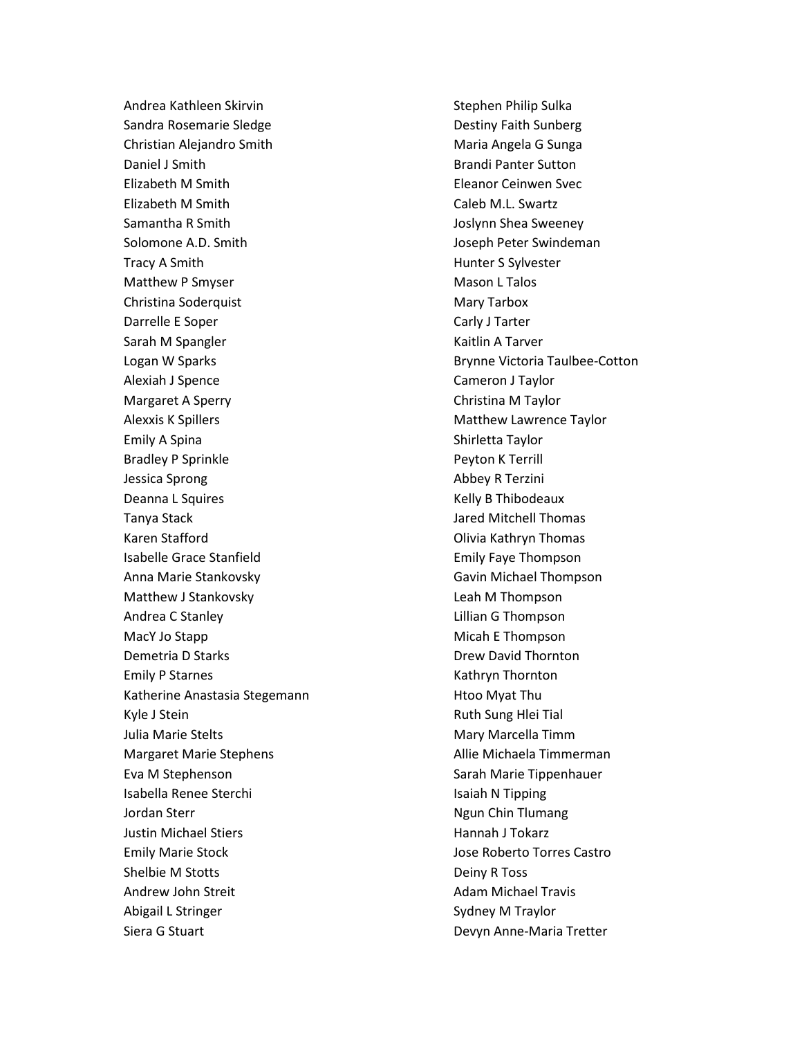Andrea Kathleen Skirvin Sandra Rosemarie Sledge Christian Alejandro Smith Daniel J Smith Elizabeth M Smith Elizabeth M Smith Samantha R Smith Solomone A.D. Smith Tracy A Smith Matthew P Smyser Christina Soderquist Darrelle E Soper Sarah M Spangler Logan W Sparks Alexiah J Spence Margaret A Sperry Alexxis K Spillers Emily A Spina Bradley P Sprinkle Jessica Sprong Deanna L Squires Tanya Stack Karen Stafford Isabelle Grace Stanfield Anna Marie Stankovsky Matthew J Stankovsky Andrea C Stanley MacY Jo Stapp Demetria D Starks Emily P Starnes Katherine Anastasia Stegemann Kyle J Stein Julia Marie Stelts Margaret Marie Stephens Eva M Stephenson Isabella Renee Sterchi Jordan Sterr Justin Michael Stiers Emily Marie Stock Shelbie M Stotts Andrew John Streit Abigail L Stringer Siera G Stuart

Stephen Philip Sulka Destiny Faith Sunberg Maria Angela G Sunga Brandi Panter Sutton Eleanor Ceinwen Svec Caleb M.L. Swartz Joslynn Shea Sweeney Joseph Peter Swindeman Hunter S Sylvester Mason L Talos Mary Tarbox Carly J Tarter Kaitlin A Tarver Brynne Victoria Taulbee-Cotton Cameron J Taylor Christina M Taylor Matthew Lawrence Taylor Shirletta Taylor Peyton K Terrill Abbey R Terzini Kelly B Thibodeaux Jared Mitchell Thomas Olivia Kathryn Thomas Emily Faye Thompson Gavin Michael Thompson Leah M Thompson Lillian G Thompson Micah E Thompson Drew David Thornton Kathryn Thornton Htoo Myat Thu Ruth Sung Hlei Tial Mary Marcella Timm Allie Michaela Timmerman Sarah Marie Tippenhauer Isaiah N Tipping Ngun Chin Tlumang Hannah J Tokarz Jose Roberto Torres Castro Deiny R Toss Adam Michael Travis Sydney M Traylor Devyn Anne-Maria Tretter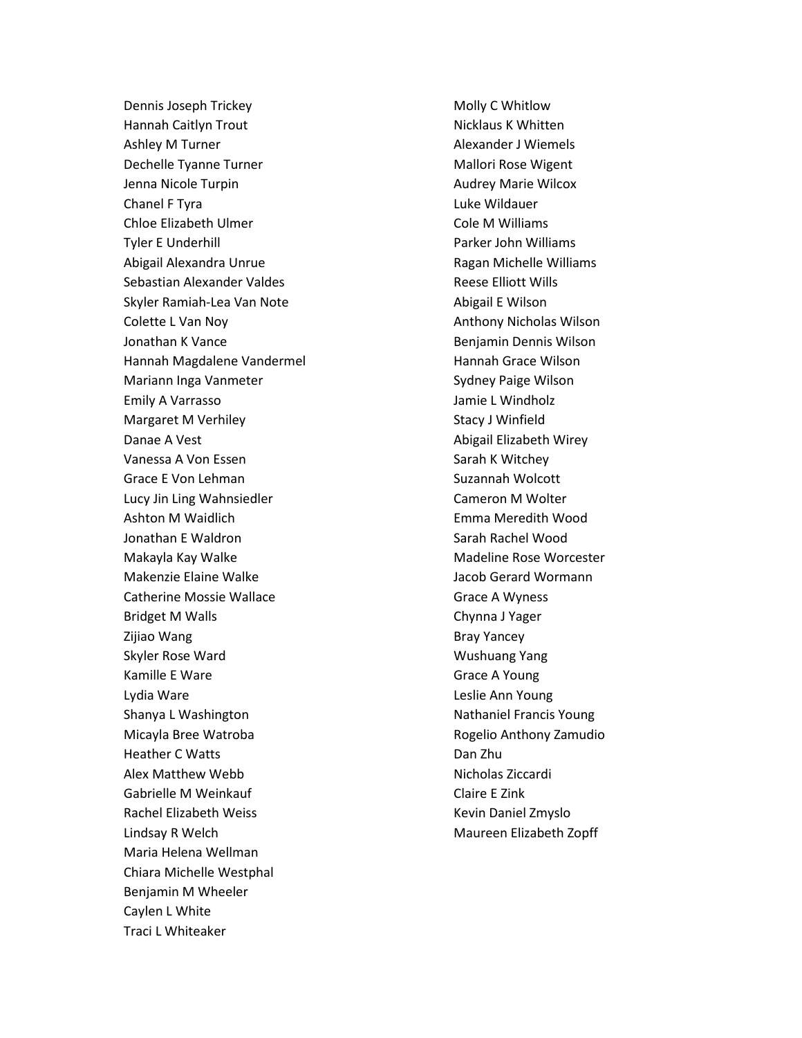Dennis Joseph Trickey Hannah Caitlyn Trout Ashley M Turner Dechelle Tyanne Turner Jenna Nicole Turpin Chanel F Tyra Chloe Elizabeth Ulmer Tyler E Underhill Abigail Alexandra Unrue Sebastian Alexander Valdes Skyler Ramiah-Lea Van Note Colette L Van Noy Jonathan K Vance Hannah Magdalene Vandermel Mariann Inga Vanmeter Emily A Varrasso Margaret M Verhiley Danae A Vest Vanessa A Von Essen Grace E Von Lehman Lucy Jin Ling Wahnsiedler Ashton M Waidlich Jonathan E Waldron Makayla Kay Walke Makenzie Elaine Walke Catherine Mossie Wallace Bridget M Walls Zijiao Wang Skyler Rose Ward Kamille E Ware Lydia Ware Shanya L Washington Micayla Bree Watroba Heather C Watts Alex Matthew Webb Gabrielle M Weinkauf Rachel Elizabeth Weiss Lindsay R Welch Maria Helena Wellman Chiara Michelle Westphal Benjamin M Wheeler Caylen L White Traci L Whiteaker

Molly C Whitlow Nicklaus K Whitten Alexander J Wiemels Mallori Rose Wigent Audrey Marie Wilcox Luke Wildauer Cole M Williams Parker John Williams Ragan Michelle Williams Reese Elliott Wills Abigail E Wilson Anthony Nicholas Wilson Benjamin Dennis Wilson Hannah Grace Wilson Sydney Paige Wilson Jamie L Windholz Stacy J Winfield Abigail Elizabeth Wirey Sarah K Witchey Suzannah Wolcott Cameron M Wolter Emma Meredith Wood Sarah Rachel Wood Madeline Rose Worcester Jacob Gerard Wormann Grace A Wyness Chynna J Yager Bray Yancey Wushuang Yang Grace A Young Leslie Ann Young Nathaniel Francis Young Rogelio Anthony Zamudio Dan Zhu Nicholas Ziccardi Claire E Zink Kevin Daniel Zmyslo Maureen Elizabeth Zopff